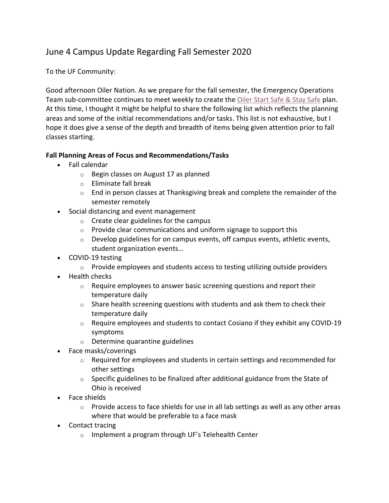## June 4 Campus Update Regarding Fall Semester 2020

To the UF Community:

Good afternoon Oiler Nation. As we prepare for the fall semester, the Emergency Operations Team sub-committee continues to meet weekly to create the Oiler Start Safe & Stay Safe plan. At this time, I thought it might be helpful to share the following list which reflects the planning areas and some of the initial recommendations and/or tasks. This list is not exhaustive, but I hope it does give a sense of the depth and breadth of items being given attention prior to fall classes starting.

## **Fall Planning Areas of Focus and Recommendations/Tasks**

- Fall calendar
	- o Begin classes on August 17 as planned
	- o Eliminate fall break
	- $\circ$  End in person classes at Thanksgiving break and complete the remainder of the semester remotely
- Social distancing and event management
	- o Create clear guidelines for the campus
	- $\circ$  Provide clear communications and uniform signage to support this
	- o Develop guidelines for on campus events, off campus events, athletic events, student organization events…
- COVID-19 testing
	- o Provide employees and students access to testing utilizing outside providers
- Health checks
	- $\circ$  Require employees to answer basic screening questions and report their temperature daily
	- $\circ$  Share health screening questions with students and ask them to check their temperature daily
	- $\circ$  Require employees and students to contact Cosiano if they exhibit any COVID-19 symptoms
	- o Determine quarantine guidelines
- Face masks/coverings
	- $\circ$  Required for employees and students in certain settings and recommended for other settings
	- $\circ$  Specific guidelines to be finalized after additional guidance from the State of Ohio is received
- Face shields
	- $\circ$  Provide access to face shields for use in all lab settings as well as any other areas where that would be preferable to a face mask
- Contact tracing
	- o Implement a program through UF's Telehealth Center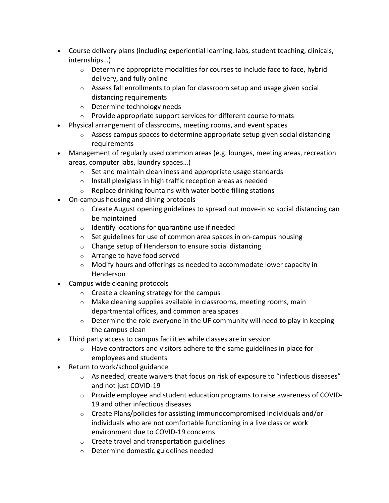- Course delivery plans (including experiential learning, labs, student teaching, clinicals, internships…)
	- o Determine appropriate modalities for courses to include face to face, hybrid delivery, and fully online
	- $\circ$  Assess fall enrollments to plan for classroom setup and usage given social distancing requirements
	- o Determine technology needs
	- o Provide appropriate support services for different course formats
- Physical arrangement of classrooms, meeting rooms, and event spaces
	- $\circ$  Assess campus spaces to determine appropriate setup given social distancing requirements
- Management of regularly used common areas (e.g. lounges, meeting areas, recreation areas, computer labs, laundry spaces…)
	- $\circ$  Set and maintain cleanliness and appropriate usage standards
	- $\circ$  Install plexiglass in high traffic reception areas as needed
	- $\circ$  Replace drinking fountains with water bottle filling stations
- On-campus housing and dining protocols
	- o Create August opening guidelines to spread out move-in so social distancing can be maintained
	- $\circ$  Identify locations for quarantine use if needed
	- $\circ$  Set guidelines for use of common area spaces in on-campus housing
	- o Change setup of Henderson to ensure social distancing
	- o Arrange to have food served
	- $\circ$  Modify hours and offerings as needed to accommodate lower capacity in Henderson
- Campus wide cleaning protocols
	- $\circ$  Create a cleaning strategy for the campus
	- o Make cleaning supplies available in classrooms, meeting rooms, main departmental offices, and common area spaces
	- $\circ$  Determine the role everyone in the UF community will need to play in keeping the campus clean
- Third party access to campus facilities while classes are in session
	- $\circ$  Have contractors and visitors adhere to the same guidelines in place for employees and students
- Return to work/school guidance
	- o As needed, create waivers that focus on risk of exposure to "infectious diseases" and not just COVID-19
	- o Provide employee and student education programs to raise awareness of COVID-19 and other infectious diseases
	- $\circ$  Create Plans/policies for assisting immunocompromised individuals and/or individuals who are not comfortable functioning in a live class or work environment due to COVID-19 concerns
	- o Create travel and transportation guidelines
	- o Determine domestic guidelines needed